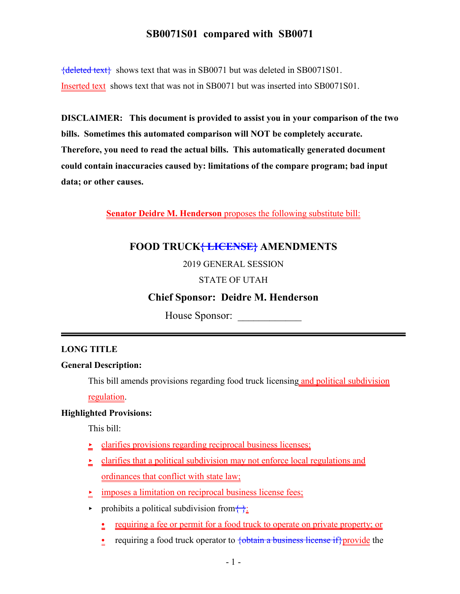${deleted text}$  shows text that was in SB0071 but was deleted in SB0071S01. Inserted text shows text that was not in SB0071 but was inserted into SB0071S01.

**DISCLAIMER: This document is provided to assist you in your comparison of the two bills. Sometimes this automated comparison will NOT be completely accurate. Therefore, you need to read the actual bills. This automatically generated document could contain inaccuracies caused by: limitations of the compare program; bad input data; or other causes.**

**Senator Deidre M. Henderson** proposes the following substitute bill:

# **FOOD TRUCK{ LICENSE} AMENDMENTS**

### 2019 GENERAL SESSION

### STATE OF UTAH

## **Chief Sponsor: Deidre M. Henderson**

House Sponsor: \_\_\_\_\_\_\_\_\_\_\_\_

### **LONG TITLE**

#### **General Description:**

This bill amends provisions regarding food truck licensing and political subdivision

regulation.

#### **Highlighted Provisions:**

This bill:

- $\ge$  clarifies provisions regarding reciprocal business licenses;
- $\geq$  clarifies that a political subdivision may not enforce local regulations and ordinances that conflict with state law;
- $\frac{\cdot}{\cdot}$  imposes a limitation on reciprocal business license fees;
- prohibits a political subdivision from  $\left\{\cdot\right\}$ :
	- requiring a fee or permit for a food truck to operate on private property; or
	- requiring a food truck operator to  $\diamondsuit\overline{\diamond}$  business license if provide the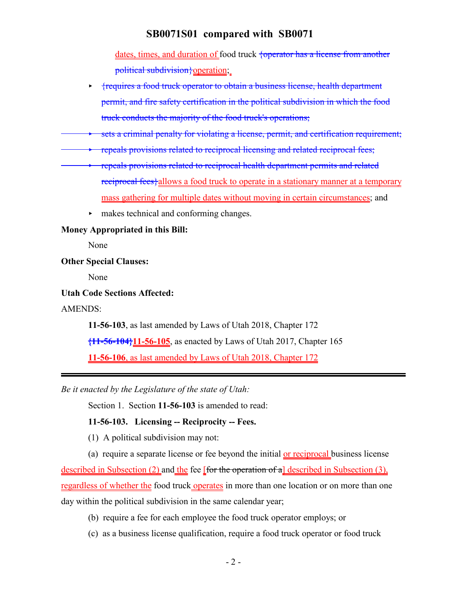dates, times, and duration of food truck  $\frac{1}{2}$  {operator has a license from another political subdivision {operation;

- < {requires a food truck operator to obtain a business license, health department permit, and fire safety certification in the political subdivision in which the food truck conducts the majority of the food truck's operations;
- sets a criminal penalty for violating a license, permit, and certification requirement;
- repeals provisions related to reciprocal licensing and related reciprocal fees;
- < repeals provisions related to reciprocal health department permits and related reciprocal fees<sup>{allows a food truck to operate in a stationary manner at a temporary</sup> mass gathering for multiple dates without moving in certain circumstances; and
	- < makes technical and conforming changes.

#### **Money Appropriated in this Bill:**

None

### **Other Special Clauses:**

None

#### **Utah Code Sections Affected:**

AMENDS:

**11-56-103**, as last amended by Laws of Utah 2018, Chapter 172

**{11-56-104}11-56-105**, as enacted by Laws of Utah 2017, Chapter 165

**11-56-106**, as last amended by Laws of Utah 2018, Chapter 172

*Be it enacted by the Legislature of the state of Utah:*

Section 1. Section **11-56-103** is amended to read:

#### **11-56-103. Licensing -- Reciprocity -- Fees.**

(1) A political subdivision may not:

(a) require a separate license or fee beyond the initial or reciprocal business license

described in Subsection (2) and the fee [for the operation of a] described in Subsection (3), regardless of whether the food truck operates in more than one location or on more than one day within the political subdivision in the same calendar year;

- (b) require a fee for each employee the food truck operator employs; or
- (c) as a business license qualification, require a food truck operator or food truck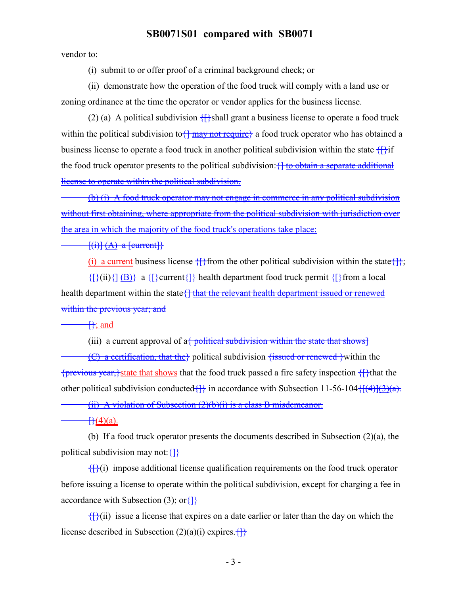vendor to:

(i) submit to or offer proof of a criminal background check; or

(ii) demonstrate how the operation of the food truck will comply with a land use or zoning ordinance at the time the operator or vendor applies for the business license.

(2) (a) A political subdivision  $\{\}$ shall grant a business license to operate a food truck within the political subdivision to  $\frac{1}{2}$  may not require a food truck operator who has obtained a business license to operate a food truck in another political subdivision within the state  $\{\hat{f}\}$ if the food truck operator presents to the political subdivision: { to obtain a separate additional license to operate within the political subdivision.

(b) (i) A food truck operator may not engage in commerce in any political subdivision without first obtaining, where appropriate from the political subdivision with jurisdiction over the area in which the majority of the food truck's operations take place:

 $\{\text{(i)}\}\text{(A)}$  a [current]}

(i) a current business license  $\{\}$  from the other political subdivision within the state  $\{\}$ ;

 ${\text{[B]}(\text{ii})\{\text{[B]}\}\text{ a }\{\text{[current}\{\text{]}\}\text{ health department food truck permit }\{\text{[} \}\text{from a local}\}$ health department within the state { that the relevant health department issued or renewed within the previous year; and

 $\uparrow$ ; and

(iii) a current approval of  $a<sub>1</sub>$  political subdivision within the state that shows]

(C) a certification, that the political subdivision fissued or renewed within the  ${previous year,} state that shows that the food truck passed a fire safety inspection {}that the$ other political subdivision conducted $\{\}$  in accordance with Subsection 11-56-104 $\{\frac{(4)}{(4)}\}$ 

(ii) A violation of Subsection (2)(b)(i) is a class B misdemeanor.

 $\frac{1}{2}(4)(a)$ .

(b) If a food truck operator presents the documents described in Subsection (2)(a), the political subdivision may not:  $\{ \}$ 

 ${f}(\hat{i})$  impose additional license qualification requirements on the food truck operator before issuing a license to operate within the political subdivision, except for charging a fee in accordance with Subsection (3); or  $\{\}$ 

 $\{f\}(i)$  issue a license that expires on a date earlier or later than the day on which the license described in Subsection  $(2)(a)(i)$  expires.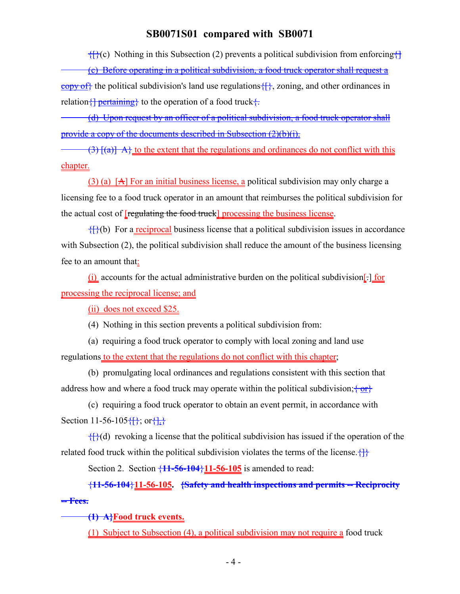${f}{f}(c)$  Nothing in this Subsection (2) prevents a political subdivision from enforcing ${f}$ 

(c) Before operating in a political subdivision, a food truck operator shall request a copy of the political subdivision's land use regulations  $\{\}$ , zoning, and other ordinances in relation  $\{\}$  pertaining to the operation of a food truck  $\{$ .

(d) Upon request by an officer of a political subdivision, a food truck operator shall provide a copy of the documents described in Subsection (2)(b)(i).

 $(3)$   $\{a\}$  A  $\}$  to the extent that the regulations and ordinances do not conflict with this chapter.

(3) (a)  $[A]$  For an initial business license, a political subdivision may only charge a licensing fee to a food truck operator in an amount that reimburses the political subdivision for the actual cost of [regulating the food truck] processing the business license.

 ${f}{f}{f}(b)$  For a reciprocal business license that a political subdivision issues in accordance with Subsection (2), the political subdivision shall reduce the amount of the business licensing fee to an amount that:

 $(i)$  accounts for the actual administrative burden on the political subdivision[ $\cdot$ ] for processing the reciprocal license; and

(ii) does not exceed \$25.

(4) Nothing in this section prevents a political subdivision from:

(a) requiring a food truck operator to comply with local zoning and land use regulations to the extent that the regulations do not conflict with this chapter;

(b) promulgating local ordinances and regulations consistent with this section that address how and where a food truck may operate within the political subdivision;  $\frac{1}{2}$ 

(c) requiring a food truck operator to obtain an event permit, in accordance with Section 11-56-105 $\{\}$ ; or $\{\}$ .

 ${f}{f}(d)$  revoking a license that the political subdivision has issued if the operation of the related food truck within the political subdivision violates the terms of the license.  $\{\}$ 

Section 2. Section {**11-56-104**}**11-56-105** is amended to read:

{**11-56-104**}**11-56-105. {Safety and health inspections and permits -- Reciprocity -- Fees.**

**(1) A}Food truck events.**

(1) Subject to Subsection (4), a political subdivision may not require a food truck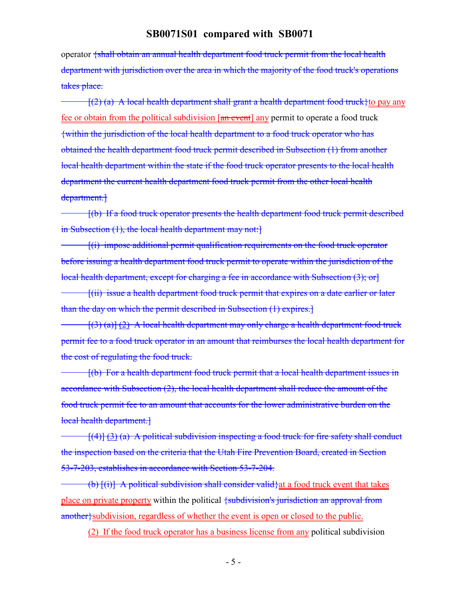operator {shall obtain an annual health department food truck permit from the local health department with jurisdiction over the area in which the majority of the food truck's operations takes place.

 $\frac{1}{2}$  (a) A local health department shall grant a health department food truck to pay any fee or obtain from the political subdivision  $\left[\frac{a_n}{a_n} \frac{b_n}{c_n}\right]$  any permit to operate a food truck {within the jurisdiction of the local health department to a food truck operator who has obtained the health department food truck permit described in Subsection (1) from another local health department within the state if the food truck operator presents to the local health department the current health department food truck permit from the other local health department.

[(b) If a food truck operator presents the health department food truck permit described in Subsection (1), the local health department may not:

[(i) impose additional permit qualification requirements on the food truck operator before issuing a health department food truck permit to operate within the jurisdiction of the local health department, except for charging a fee in accordance with Subsection (3); or

[(ii) issue a health department food truck permit that expires on a date earlier or later than the day on which the permit described in Subsection (1) expires.]

 $[(3) (a)] (2)$  A local health department may only charge a health department food truck permit fee to a food truck operator in an amount that reimburses the local health department for the cost of regulating the food truck.

[(b) For a health department food truck permit that a local health department issues in accordance with Subsection (2), the local health department shall reduce the amount of the food truck permit fee to an amount that accounts for the lower administrative burden on the local health department.]

 $[(4)] (3) (a)$  A political subdivision inspecting a food truck for fire safety shall conduct the inspection based on the criteria that the Utah Fire Prevention Board, created in Section 53-7-203, establishes in accordance with Section 53-7-204.

(b)  $[(i)]$  A political subdivision shall consider valid) at a food truck event that takes place on private property within the political {subdivision's jurisdiction an approval from another}subdivision, regardless of whether the event is open or closed to the public.

(2) If the food truck operator has a business license from any political subdivision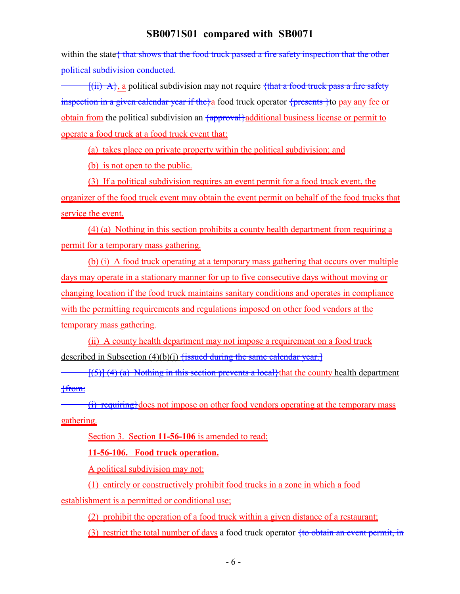within the state that shows that the food truck passed a fire safety inspection that the other political subdivision conducted.

 $\frac{f(ii) A}{a}$  political subdivision may not require  $\frac{fthat}{a}$  food truck pass a fire safety inspection in a given calendar year if the  $a$  food truck operator {presents } to pay any fee or obtain from the political subdivision an  $\frac{1}{2}$  additional business license or permit to operate a food truck at a food truck event that:

(a) takes place on private property within the political subdivision; and

(b) is not open to the public.

(3) If a political subdivision requires an event permit for a food truck event, the organizer of the food truck event may obtain the event permit on behalf of the food trucks that service the event.

(4) (a) Nothing in this section prohibits a county health department from requiring a permit for a temporary mass gathering.

(b) (i) A food truck operating at a temporary mass gathering that occurs over multiple days may operate in a stationary manner for up to five consecutive days without moving or changing location if the food truck maintains sanitary conditions and operates in compliance with the permitting requirements and regulations imposed on other food vendors at the temporary mass gathering.

(ii) A county health department may not impose a requirement on a food truck described in Subsection  $(4)(b)(i)$  fissued during the same calendar year.

 $\frac{f(5)}{4}$  (4) (a) Nothing in this section prevents a local that the county health department {from:

 $(i)$  requiring does not impose on other food vendors operating at the temporary mass gathering.

Section 3. Section **11-56-106** is amended to read:

**11-56-106. Food truck operation.**

A political subdivision may not:

(1) entirely or constructively prohibit food trucks in a zone in which a food establishment is a permitted or conditional use;

(2) prohibit the operation of a food truck within a given distance of a restaurant;

(3) restrict the total number of days a food truck operator  $\frac{1}{10}$  obtain an event permit, in